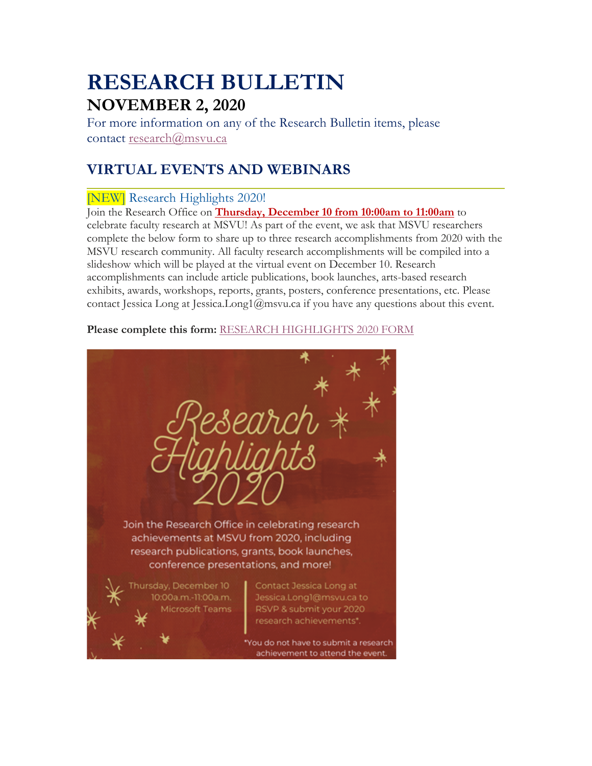# **RESEARCH BULLETIN NOVEMBER 2, 2020**

For more information on any of the Research Bulletin items, please contact research@msvu.ca

# **VIRTUAL EVENTS AND WEBINARS**

### [NEW] Research Highlights 2020!

Join the Research Office on **Thursday, December 10 from 10:00am to 11:00am** to celebrate faculty research at MSVU! As part of the event, we ask that MSVU researchers complete the below form to share up to three research accomplishments from 2020 with the MSVU research community. All faculty research accomplishments will be compiled into a slideshow which will be played at the virtual event on December 10. Research accomplishments can include article publications, book launches, arts-based research exhibits, awards, workshops, reports, grants, posters, conference presentations, etc. Please contact Jessica Long at Jessica.Long1@msvu.ca if you have any questions about this event.

#### **Please complete this form:** RESEARCH HIGHLIGHTS 2020 FORM

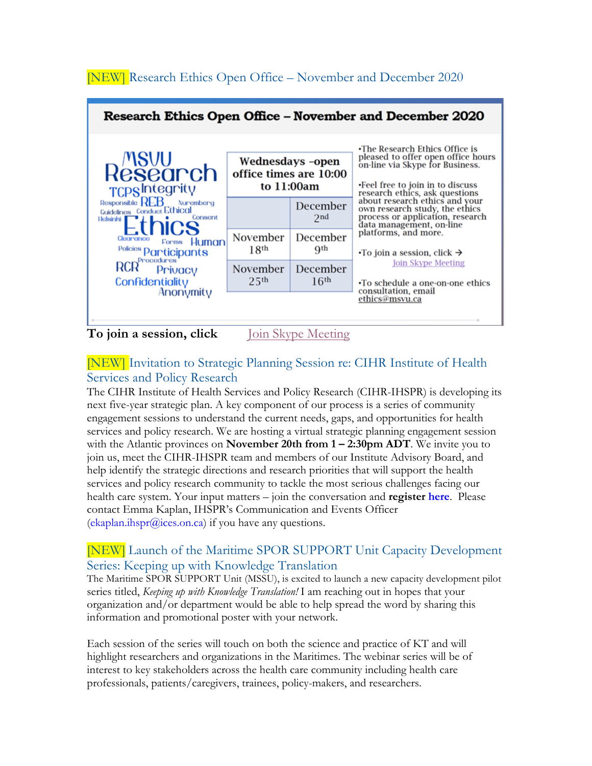

### [NEW] Invitation to Strategic Planning Session re: CIHR Institute of Health Services and Policy Research

The CIHR Institute of Health Services and Policy Research (CIHR-IHSPR) is developing its next five-year strategic plan. A key component of our process is a series of community engagement sessions to understand the current needs, gaps, and opportunities for health services and policy research. We are hosting a virtual strategic planning engagement session with the Atlantic provinces on **November 20th from 1 – 2:30pm ADT**. We invite you to join us, meet the CIHR-IHSPR team and members of our Institute Advisory Board, and help identify the strategic directions and research priorities that will support the health services and policy research community to tackle the most serious challenges facing our health care system. Your input matters – join the conversation and **register here**. Please contact Emma Kaplan, IHSPR's Communication and Events Officer  $(ekaplan.hspr@ices.on.ca)$  if you have any questions.

### [NEW] Launch of the Maritime SPOR SUPPORT Unit Capacity Development Series: Keeping up with Knowledge Translation

The Maritime SPOR SUPPORT Unit (MSSU), is excited to launch a new capacity development pilot series titled, *Keeping up with Knowledge Translation!* I am reaching out in hopes that your organization and/or department would be able to help spread the word by sharing this information and promotional poster with your network.

Each session of the series will touch on both the science and practice of KT and will highlight researchers and organizations in the Maritimes. The webinar series will be of interest to key stakeholders across the health care community including health care professionals, patients/caregivers, trainees, policy-makers, and researchers.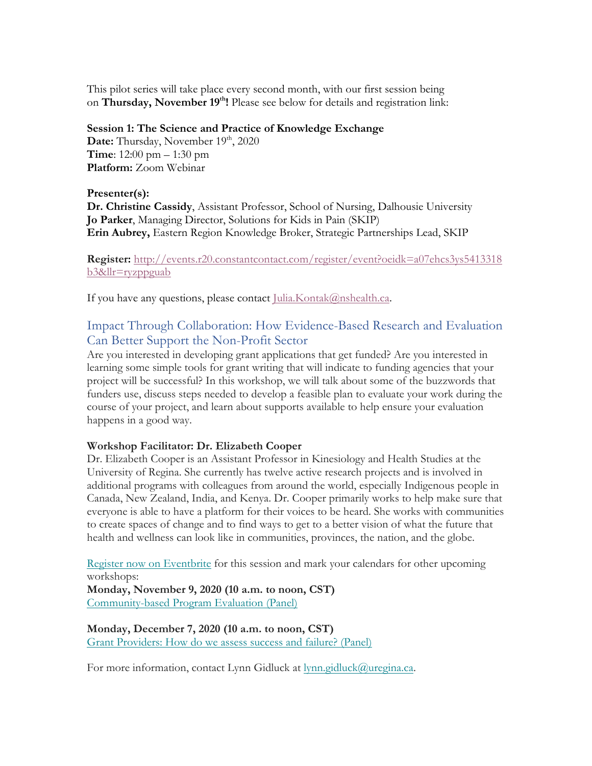This pilot series will take place every second month, with our first session being on **Thursday, November 19<sup>th</sup>!** Please see below for details and registration link:

#### **Session 1: The Science and Practice of Knowledge Exchange**

**Date:** Thursday, November 19<sup>th</sup>, 2020 **Time**: 12:00 pm – 1:30 pm **Platform:** Zoom Webinar

#### **Presenter(s):**

**Dr. Christine Cassidy**, Assistant Professor, School of Nursing, Dalhousie University **Jo Parker**, Managing Director, Solutions for Kids in Pain (SKIP) **Erin Aubrey,** Eastern Region Knowledge Broker, Strategic Partnerships Lead, SKIP

**Register:** http://events.r20.constantcontact.com/register/event?oeidk=a07ehcs3ys5413318 b3&llr=ryzppguab

If you have any questions, please contact  $\text{Julia.Kontak@nshealth.ca.}$ 

### Impact Through Collaboration: How Evidence-Based Research and Evaluation Can Better Support the Non-Profit Sector

Are you interested in developing grant applications that get funded? Are you interested in learning some simple tools for grant writing that will indicate to funding agencies that your project will be successful? In this workshop, we will talk about some of the buzzwords that funders use, discuss steps needed to develop a feasible plan to evaluate your work during the course of your project, and learn about supports available to help ensure your evaluation happens in a good way.

#### **Workshop Facilitator: Dr. Elizabeth Cooper**

Dr. Elizabeth Cooper is an Assistant Professor in Kinesiology and Health Studies at the University of Regina. She currently has twelve active research projects and is involved in additional programs with colleagues from around the world, especially Indigenous people in Canada, New Zealand, India, and Kenya. Dr. Cooper primarily works to help make sure that everyone is able to have a platform for their voices to be heard. She works with communities to create spaces of change and to find ways to get to a better vision of what the future that health and wellness can look like in communities, provinces, the nation, and the globe.

Register now on Eventbrite for this session and mark your calendars for other upcoming workshops:

**Monday, November 9, 2020 (10 a.m. to noon, CST)** Community-based Program Evaluation (Panel)

**Monday, December 7, 2020 (10 a.m. to noon, CST)** Grant Providers: How do we assess success and failure? (Panel)

For more information, contact Lynn Gidluck at lynn.gidluck@uregina.ca.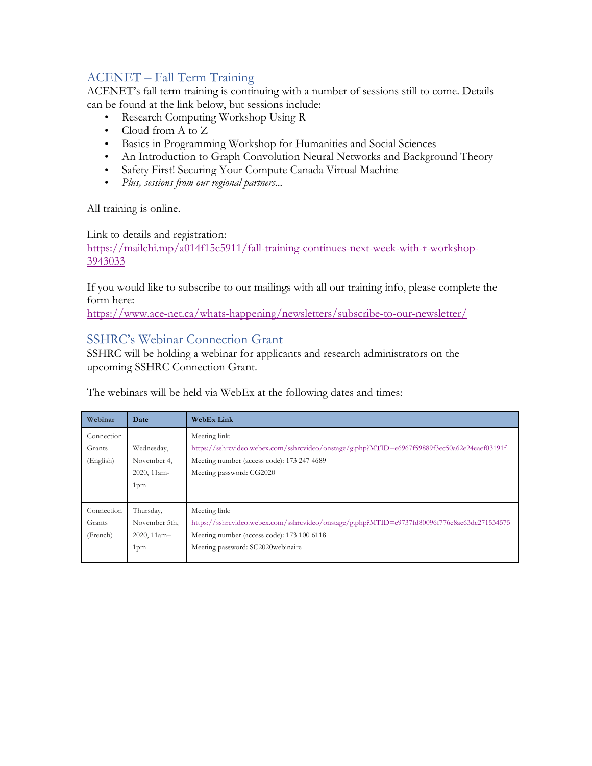### ACENET – Fall Term Training

ACENET's fall term training is continuing with a number of sessions still to come. Details can be found at the link below, but sessions include:

- Research Computing Workshop Using R
- Cloud from A to Z
- Basics in Programming Workshop for Humanities and Social Sciences
- An Introduction to Graph Convolution Neural Networks and Background Theory
- Safety First! Securing Your Compute Canada Virtual Machine
- *Plus, sessions from our regional partners...*

All training is online.

Link to details and registration:

https://mailchi.mp/a014f15c5911/fall-training-continues-next-week-with-r-workshop-3943033

If you would like to subscribe to our mailings with all our training info, please complete the form here:

https://www.ace-net.ca/whats-happening/newsletters/subscribe-to-our-newsletter/

#### SSHRC's Webinar Connection Grant

SSHRC will be holding a webinar for applicants and research administrators on the upcoming SSHRC Connection Grant.

The webinars will be held via WebEx at the following dates and times:

| Webinar    | Date            | <b>WebEx Link</b>                                                                            |
|------------|-----------------|----------------------------------------------------------------------------------------------|
| Connection |                 | Meeting link:                                                                                |
| Grants     | Wednesday,      | https://sshrcvideo.webex.com/sshrcvideo/onstage/g.php?MTID=e6967f59889f3ec50a62e24eaef03191f |
| (English)  | November 4.     | Meeting number (access code): 173 247 4689                                                   |
|            | 2020, 11am-     | Meeting password: CG2020                                                                     |
|            | 1 <sub>pm</sub> |                                                                                              |
|            |                 |                                                                                              |
| Connection | Thursday,       | Meeting link:                                                                                |
| Grants     | November 5th,   | https://sshrcvideo.webex.com/sshrcvideo/onstage/g.php?MTID=e9737fd80096f776e8ae63dc271534575 |
| (French)   | 2020, 11am-     | Meeting number (access code): 173 100 6118                                                   |
|            | 1 <sub>pm</sub> | Meeting password: SC2020webinaire                                                            |
|            |                 |                                                                                              |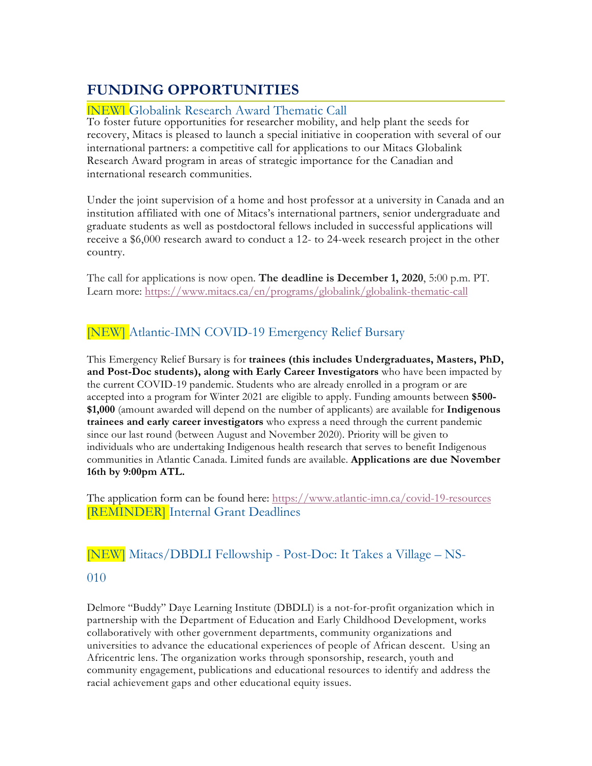# **FUNDING OPPORTUNITIES**

#### [NEW] Globalink Research Award Thematic Call

To foster future opportunities for researcher mobility, and help plant the seeds for recovery, Mitacs is pleased to launch a special initiative in cooperation with several of our international partners: a competitive call for applications to our Mitacs Globalink Research Award program in areas of strategic importance for the Canadian and international research communities.

Under the joint supervision of a home and host professor at a university in Canada and an institution affiliated with one of Mitacs's international partners, senior undergraduate and graduate students as well as postdoctoral fellows included in successful applications will receive a \$6,000 research award to conduct a 12- to 24-week research project in the other country.

The call for applications is now open. **The deadline is December 1, 2020**, 5:00 p.m. PT. Learn more: https://www.mitacs.ca/en/programs/globalink/globalink-thematic-call

# [NEW] Atlantic-IMN COVID-19 Emergency Relief Bursary

This Emergency Relief Bursary is for **trainees (this includes Undergraduates, Masters, PhD, and Post-Doc students), along with Early Career Investigators** who have been impacted by the current COVID-19 pandemic. Students who are already enrolled in a program or are accepted into a program for Winter 2021 are eligible to apply. Funding amounts between **\$500- \$1,000** (amount awarded will depend on the number of applicants) are available for **Indigenous trainees and early career investigators** who express a need through the current pandemic since our last round (between August and November 2020). Priority will be given to individuals who are undertaking Indigenous health research that serves to benefit Indigenous communities in Atlantic Canada. Limited funds are available. **Applications are due November 16th by 9:00pm ATL.**

The application form can be found here: https://www.atlantic-imn.ca/covid-19-resources [REMINDER] Internal Grant Deadlines

### [NEW] Mitacs/DBDLI Fellowship - Post-Doc: It Takes a Village – NS-

#### 010

Delmore "Buddy" Daye Learning Institute (DBDLI) is a not-for-profit organization which in partnership with the Department of Education and Early Childhood Development, works collaboratively with other government departments, community organizations and universities to advance the educational experiences of people of African descent. Using an Africentric lens. The organization works through sponsorship, research, youth and community engagement, publications and educational resources to identify and address the racial achievement gaps and other educational equity issues.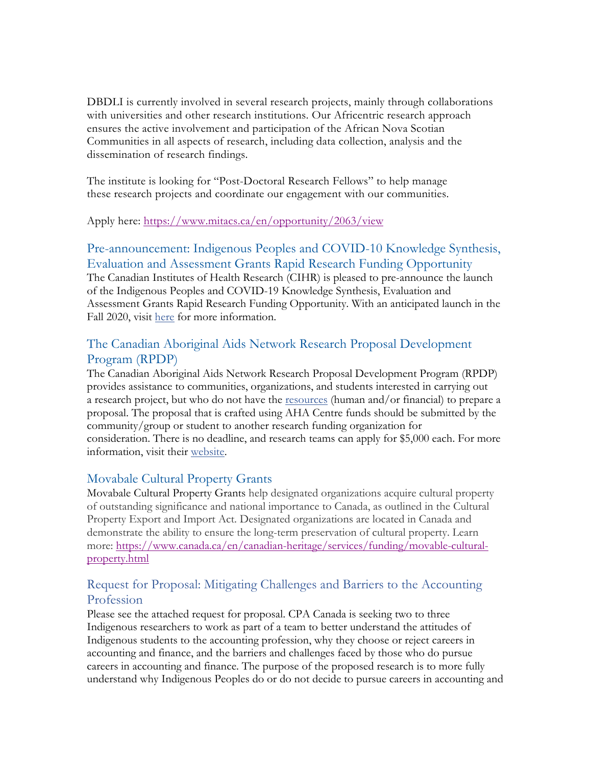DBDLI is currently involved in several research projects, mainly through collaborations with universities and other research institutions. Our Africentric research approach ensures the active involvement and participation of the African Nova Scotian Communities in all aspects of research, including data collection, analysis and the dissemination of research findings.

The institute is looking for "Post-Doctoral Research Fellows" to help manage these research projects and coordinate our engagement with our communities.

Apply here: https://www.mitacs.ca/en/opportunity/2063/view

#### Pre-announcement: Indigenous Peoples and COVID-10 Knowledge Synthesis, Evaluation and Assessment Grants Rapid Research Funding Opportunity

The Canadian Institutes of Health Research (CIHR) is pleased to pre-announce the launch of the Indigenous Peoples and COVID-19 Knowledge Synthesis, Evaluation and Assessment Grants Rapid Research Funding Opportunity. With an anticipated launch in the Fall 2020, visit here for more information.

#### The Canadian Aboriginal Aids Network Research Proposal Development Program (RPDP)

The Canadian Aboriginal Aids Network Research Proposal Development Program (RPDP) provides assistance to communities, organizations, and students interested in carrying out a research project, but who do not have the resources (human and/or financial) to prepare a proposal. The proposal that is crafted using AHA Centre funds should be submitted by the community/group or student to another research funding organization for consideration. There is no deadline, and research teams can apply for \$5,000 each. For more information, visit their website.

#### Movabale Cultural Property Grants

Movabale Cultural Property Grants help designated organizations acquire cultural property of outstanding significance and national importance to Canada, as outlined in the Cultural Property Export and Import Act. Designated organizations are located in Canada and demonstrate the ability to ensure the long-term preservation of cultural property. Learn more: https://www.canada.ca/en/canadian-heritage/services/funding/movable-culturalproperty.html

#### Request for Proposal: Mitigating Challenges and Barriers to the Accounting Profession

Please see the attached request for proposal. CPA Canada is seeking two to three Indigenous researchers to work as part of a team to better understand the attitudes of Indigenous students to the accounting profession, why they choose or reject careers in accounting and finance, and the barriers and challenges faced by those who do pursue careers in accounting and finance. The purpose of the proposed research is to more fully understand why Indigenous Peoples do or do not decide to pursue careers in accounting and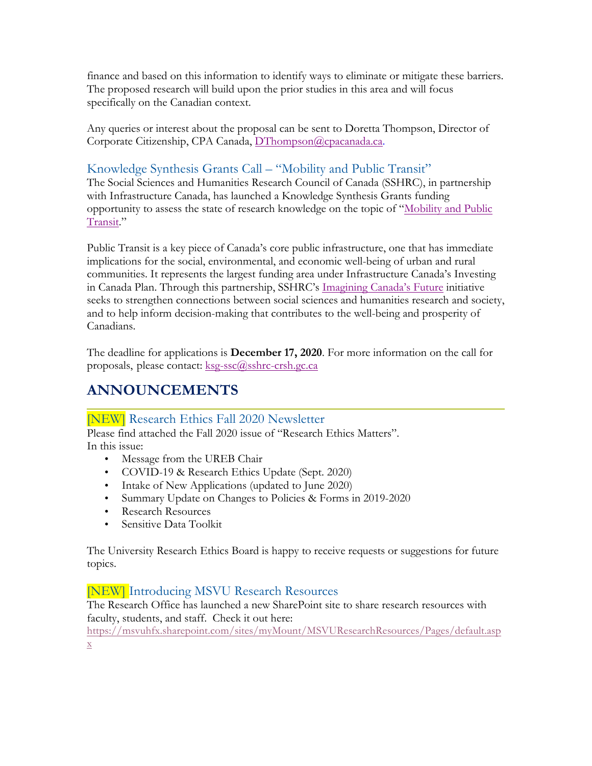finance and based on this information to identify ways to eliminate or mitigate these barriers. The proposed research will build upon the prior studies in this area and will focus specifically on the Canadian context.

Any queries or interest about the proposal can be sent to Doretta Thompson, Director of Corporate Citizenship, CPA Canada, DThompson@cpacanada.ca.

### Knowledge Synthesis Grants Call – "Mobility and Public Transit"

The Social Sciences and Humanities Research Council of Canada (SSHRC), in partnership with Infrastructure Canada, has launched a Knowledge Synthesis Grants funding opportunity to assess the state of research knowledge on the topic of "Mobility and Public Transit."

Public Transit is a key piece of Canada's core public infrastructure, one that has immediate implications for the social, environmental, and economic well-being of urban and rural communities. It represents the largest funding area under Infrastructure Canada's Investing in Canada Plan. Through this partnership, SSHRC's Imagining Canada's Future initiative seeks to strengthen connections between social sciences and humanities research and society, and to help inform decision-making that contributes to the well-being and prosperity of Canadians.

The deadline for applications is **December 17, 2020**. For more information on the call for proposals, please contact: ksg-ssc@sshrc-crsh.gc.ca

# **ANNOUNCEMENTS**

#### [NEW] Research Ethics Fall 2020 Newsletter

Please find attached the Fall 2020 issue of "Research Ethics Matters". In this issue:

- Message from the UREB Chair
- COVID-19 & Research Ethics Update (Sept. 2020)
- Intake of New Applications (updated to June 2020)
- Summary Update on Changes to Policies & Forms in 2019-2020
- Research Resources
- Sensitive Data Toolkit

The University Research Ethics Board is happy to receive requests or suggestions for future topics.

#### [NEW] Introducing MSVU Research Resources

The Research Office has launched a new SharePoint site to share research resources with faculty, students, and staff. Check it out here:

https://msvuhfx.sharepoint.com/sites/myMount/MSVUResearchResources/Pages/default.asp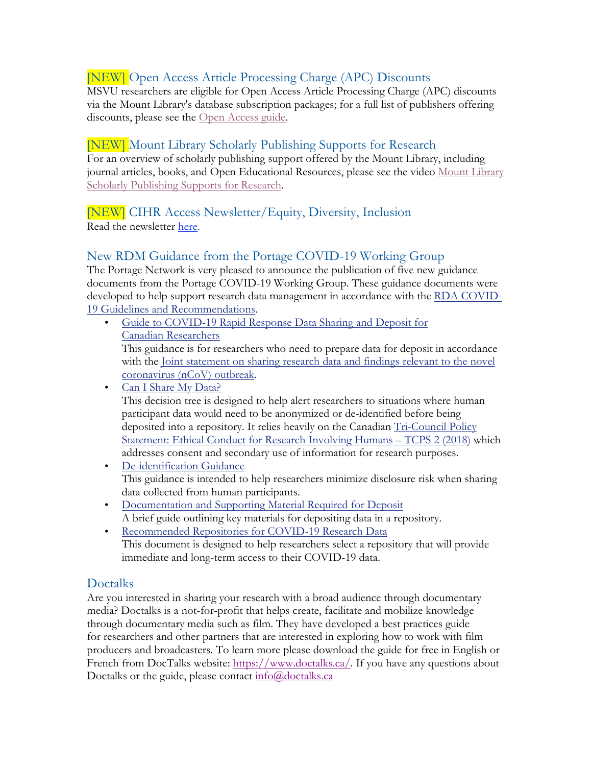#### [NEW] Open Access Article Processing Charge (APC) Discounts

MSVU researchers are eligible for Open Access Article Processing Charge (APC) discounts via the Mount Library's database subscription packages; for a full list of publishers offering discounts, please see the Open Access guide.

#### [NEW] Mount Library Scholarly Publishing Supports for Research

For an overview of scholarly publishing support offered by the Mount Library, including journal articles, books, and Open Educational Resources, please see the video Mount Library Scholarly Publishing Supports for Research.

## [NEW] CIHR Access Newsletter/Equity, Diversity, Inclusion

Read the newsletter here.

#### New RDM Guidance from the Portage COVID-19 Working Group

The Portage Network is very pleased to announce the publication of five new guidance documents from the Portage COVID-19 Working Group. These guidance documents were developed to help support research data management in accordance with the RDA COVID-19 Guidelines and Recommendations.

• Guide to COVID-19 Rapid Response Data Sharing and Deposit for Canadian Researchers

This guidance is for researchers who need to prepare data for deposit in accordance with the Joint statement on sharing research data and findings relevant to the novel coronavirus (nCoV) outbreak.

• Can I Share My Data?

This decision tree is designed to help alert researchers to situations where human participant data would need to be anonymized or de-identified before being deposited into a repository. It relies heavily on the Canadian Tri-Council Policy Statement: Ethical Conduct for Research Involving Humans – TCPS 2 (2018) which addresses consent and secondary use of information for research purposes.

- De-identification Guidance This guidance is intended to help researchers minimize disclosure risk when sharing data collected from human participants.
- Documentation and Supporting Material Required for Deposit A brief guide outlining key materials for depositing data in a repository.
- Recommended Repositories for COVID-19 Research Data This document is designed to help researchers select a repository that will provide immediate and long-term access to their COVID-19 data.

#### Doctalks

Are you interested in sharing your research with a broad audience through documentary media? Doctalks is a not-for-profit that helps create, facilitate and mobilize knowledge through documentary media such as film. They have developed a best practices guide for researchers and other partners that are interested in exploring how to work with film producers and broadcasters. To learn more please download the guide for free in English or French from DocTalks website: https://www.doctalks.ca/. If you have any questions about Doctalks or the guide, please contact info@doctalks.ca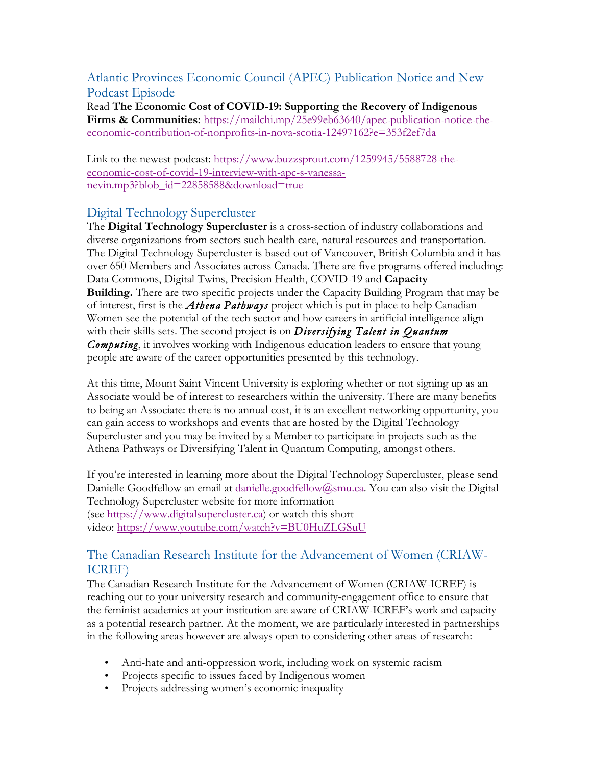Atlantic Provinces Economic Council (APEC) Publication Notice and New Podcast Episode

Read **The Economic Cost of COVID-19: Supporting the Recovery of Indigenous Firms & Communities:** https://mailchi.mp/25e99eb63640/apec-publication-notice-theeconomic-contribution-of-nonprofits-in-nova-scotia-12497162?e=353f2ef7da

Link to the newest podcast: https://www.buzzsprout.com/1259945/5588728-theeconomic-cost-of-covid-19-interview-with-apc-s-vanessanevin.mp3?blob\_id=22858588&download=true

#### Digital Technology Supercluster

The **Digital Technology Supercluster** is a cross-section of industry collaborations and diverse organizations from sectors such health care, natural resources and transportation. The Digital Technology Supercluster is based out of Vancouver, British Columbia and it has over 650 Members and Associates across Canada. There are five programs offered including: Data Commons, Digital Twins, Precision Health, COVID-19 and **Capacity Building.** There are two specific projects under the Capacity Building Program that may be of interest, first is the *Athena Pathways* project which is put in place to help Canadian Women see the potential of the tech sector and how careers in artificial intelligence align with their skills sets. The second project is on *Diversifying Talent in Quantum Computing*, it involves working with Indigenous education leaders to ensure that young people are aware of the career opportunities presented by this technology.

At this time, Mount Saint Vincent University is exploring whether or not signing up as an Associate would be of interest to researchers within the university. There are many benefits to being an Associate: there is no annual cost, it is an excellent networking opportunity, you can gain access to workshops and events that are hosted by the Digital Technology Supercluster and you may be invited by a Member to participate in projects such as the Athena Pathways or Diversifying Talent in Quantum Computing, amongst others.

If you're interested in learning more about the Digital Technology Supercluster, please send Danielle Goodfellow an email at danielle.goodfellow@smu.ca. You can also visit the Digital Technology Supercluster website for more information (see https://www.digitalsupercluster.ca) or watch this short video: https://www.youtube.com/watch?v=BU0HuZLGSuU

#### The Canadian Research Institute for the Advancement of Women (CRIAW-ICREF)

The Canadian Research Institute for the Advancement of Women (CRIAW-ICREF) is reaching out to your university research and community-engagement office to ensure that the feminist academics at your institution are aware of CRIAW-ICREF's work and capacity as a potential research partner. At the moment, we are particularly interested in partnerships in the following areas however are always open to considering other areas of research:

- Anti-hate and anti-oppression work, including work on systemic racism
- Projects specific to issues faced by Indigenous women
- Projects addressing women's economic inequality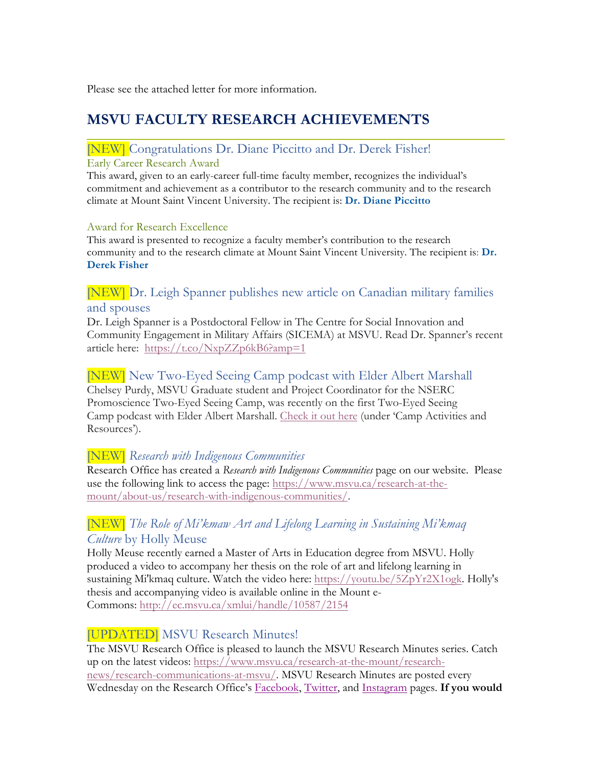Please see the attached letter for more information.

# **MSVU FACULTY RESEARCH ACHIEVEMENTS**

# [NEW] Congratulations Dr. Diane Piccitto and Dr. Derek Fisher!

#### Early Career Research Award

This award, given to an early-career full-time faculty member, recognizes the individual's commitment and achievement as a contributor to the research community and to the research climate at Mount Saint Vincent University. The recipient is: **Dr. Diane Piccitto**

#### Award for Research Excellence

This award is presented to recognize a faculty member's contribution to the research community and to the research climate at Mount Saint Vincent University. The recipient is: **Dr. Derek Fisher**

#### [NEW] Dr. Leigh Spanner publishes new article on Canadian military families and spouses

Dr. Leigh Spanner is a Postdoctoral Fellow in The Centre for Social Innovation and Community Engagement in Military Affairs (SICEMA) at MSVU. Read Dr. Spanner's recent article here: https://t.co/NxpZZp6kB6?amp=1

#### [NEW] New Two-Eyed Seeing Camp podcast with Elder Albert Marshall

Chelsey Purdy, MSVU Graduate student and Project Coordinator for the NSERC Promoscience Two-Eyed Seeing Camp, was recently on the first Two-Eyed Seeing Camp podcast with Elder Albert Marshall. Check it out here (under 'Camp Activities and Resources').

#### [NEW] *Research with Indigenous Communities*

Research Office has created a *Research with Indigenous Communities* page on our website. Please use the following link to access the page: https://www.msvu.ca/research-at-themount/about-us/research-with-indigenous-communities/.

#### [NEW] *The Role of Mi'kmaw Art and Lifelong Learning in Sustaining Mi'kmaq Culture* by Holly Meuse

Holly Meuse recently earned a Master of Arts in Education degree from MSVU. Holly produced a video to accompany her thesis on the role of art and lifelong learning in sustaining Mi'kmaq culture. Watch the video here: https://youtu.be/5ZpYr2X1ogk. Holly's thesis and accompanying video is available online in the Mount e-Commons: http://ec.msvu.ca/xmlui/handle/10587/2154

#### [UPDATED] MSVU Research Minutes!

The MSVU Research Office is pleased to launch the MSVU Research Minutes series. Catch up on the latest videos: https://www.msvu.ca/research-at-the-mount/researchnews/research-communications-at-msvu/. MSVU Research Minutes are posted every Wednesday on the Research Office's Facebook, Twitter, and Instagram pages. **If you would**